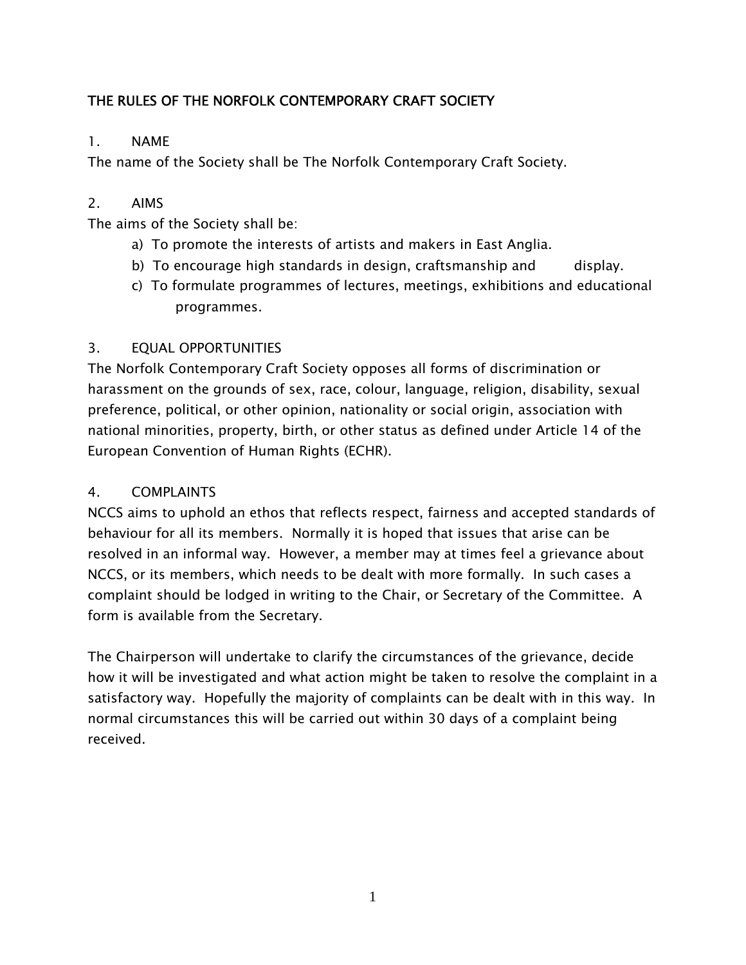# THE RULES OF THE NORFOLK CONTEMPORARY CRAFT SOCIETY

# 1. NAME

The name of the Society shall be The Norfolk Contemporary Craft Society.

# 2. AIMS

The aims of the Society shall be:

- a) To promote the interests of artists and makers in East Anglia.
- b) To encourage high standards in design, craftsmanship and display.
- c) To formulate programmes of lectures, meetings, exhibitions and educational programmes.

# 3. EQUAL OPPORTUNITIES

The Norfolk Contemporary Craft Society opposes all forms of discrimination or harassment on the grounds of sex, race, colour, language, religion, disability, sexual preference, political, or other opinion, nationality or social origin, association with national minorities, property, birth, or other status as defined under Article 14 of the European Convention of Human Rights (ECHR).

# 4. COMPLAINTS

NCCS aims to uphold an ethos that reflects respect, fairness and accepted standards of behaviour for all its members. Normally it is hoped that issues that arise can be resolved in an informal way. However, a member may at times feel a grievance about NCCS, or its members, which needs to be dealt with more formally. In such cases a complaint should be lodged in writing to the Chair, or Secretary of the Committee. A form is available from the Secretary.

The Chairperson will undertake to clarify the circumstances of the grievance, decide how it will be investigated and what action might be taken to resolve the complaint in a satisfactory way. Hopefully the majority of complaints can be dealt with in this way. In normal circumstances this will be carried out within 30 days of a complaint being received.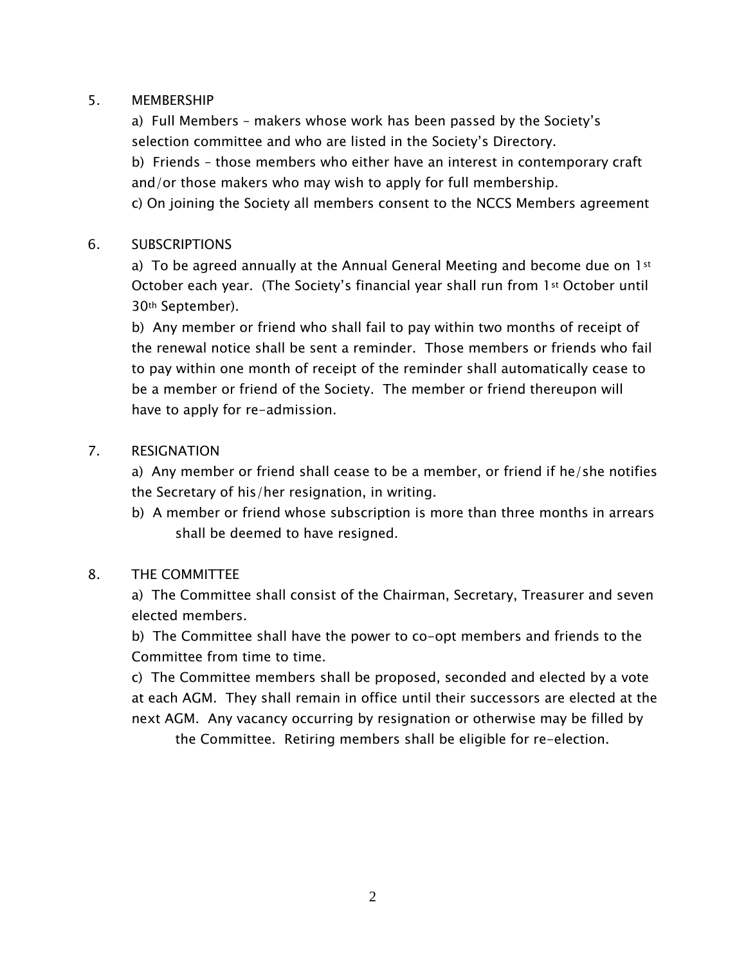## 5. MEMBERSHIP

a) Full Members – makers whose work has been passed by the Society's selection committee and who are listed in the Society's Directory.

b) Friends – those members who either have an interest in contemporary craft and/or those makers who may wish to apply for full membership.

c) On joining the Society all members consent to the NCCS Members agreement

## 6. SUBSCRIPTIONS

a) To be agreed annually at the Annual General Meeting and become due on  $1st$ October each year. (The Society's financial year shall run from 1st October until 30th September).

b) Any member or friend who shall fail to pay within two months of receipt of the renewal notice shall be sent a reminder. Those members or friends who fail to pay within one month of receipt of the reminder shall automatically cease to be a member or friend of the Society. The member or friend thereupon will have to apply for re-admission.

## 7. RESIGNATION

a) Any member or friend shall cease to be a member, or friend if he/she notifies the Secretary of his/her resignation, in writing.

b) A member or friend whose subscription is more than three months in arrears shall be deemed to have resigned.

## 8. THE COMMITTEE

a) The Committee shall consist of the Chairman, Secretary, Treasurer and seven elected members.

b) The Committee shall have the power to co-opt members and friends to the Committee from time to time.

c) The Committee members shall be proposed, seconded and elected by a vote at each AGM. They shall remain in office until their successors are elected at the next AGM. Any vacancy occurring by resignation or otherwise may be filled by

the Committee. Retiring members shall be eligible for re-election.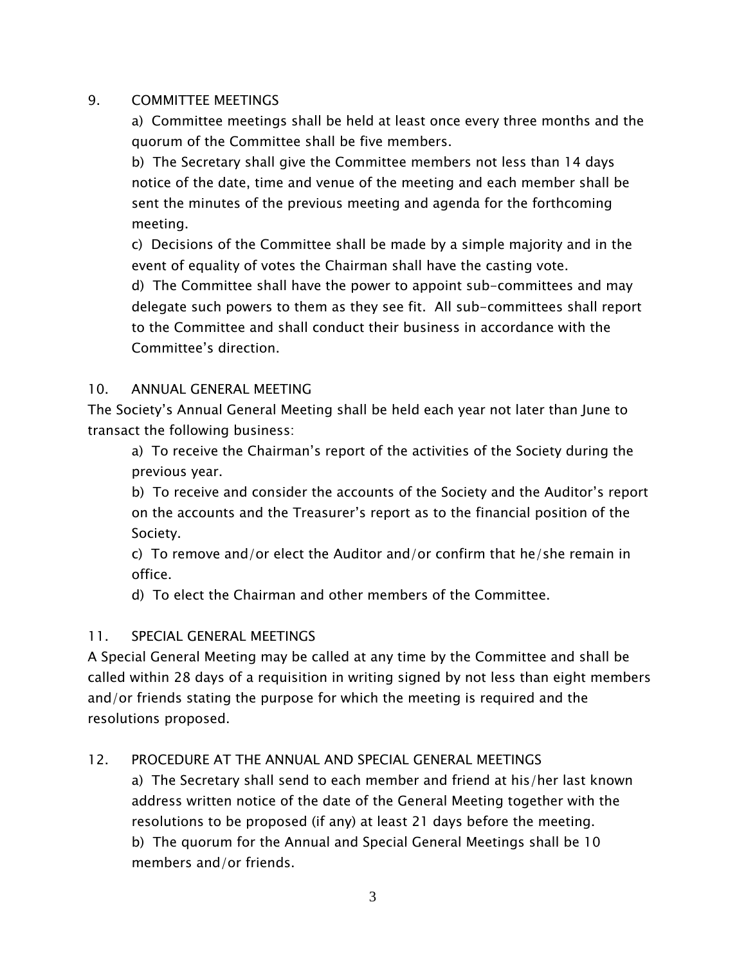## 9. COMMITTEE MEETINGS

a) Committee meetings shall be held at least once every three months and the quorum of the Committee shall be five members.

b) The Secretary shall give the Committee members not less than 14 days notice of the date, time and venue of the meeting and each member shall be sent the minutes of the previous meeting and agenda for the forthcoming meeting.

c) Decisions of the Committee shall be made by a simple majority and in the event of equality of votes the Chairman shall have the casting vote.

d) The Committee shall have the power to appoint sub-committees and may delegate such powers to them as they see fit. All sub-committees shall report to the Committee and shall conduct their business in accordance with the Committee's direction.

## 10. ANNUAL GENERAL MEETING

The Society's Annual General Meeting shall be held each year not later than June to transact the following business:

a) To receive the Chairman's report of the activities of the Society during the previous year.

b) To receive and consider the accounts of the Society and the Auditor's report on the accounts and the Treasurer's report as to the financial position of the Society.

c) To remove and/or elect the Auditor and/or confirm that he/she remain in office.

d) To elect the Chairman and other members of the Committee.

### 11. SPECIAL GENERAL MEETINGS

A Special General Meeting may be called at any time by the Committee and shall be called within 28 days of a requisition in writing signed by not less than eight members and/or friends stating the purpose for which the meeting is required and the resolutions proposed.

### 12. PROCEDURE AT THE ANNUAL AND SPECIAL GENERAL MEETINGS

a) The Secretary shall send to each member and friend at his/her last known address written notice of the date of the General Meeting together with the resolutions to be proposed (if any) at least 21 days before the meeting. b) The quorum for the Annual and Special General Meetings shall be 10 members and/or friends.